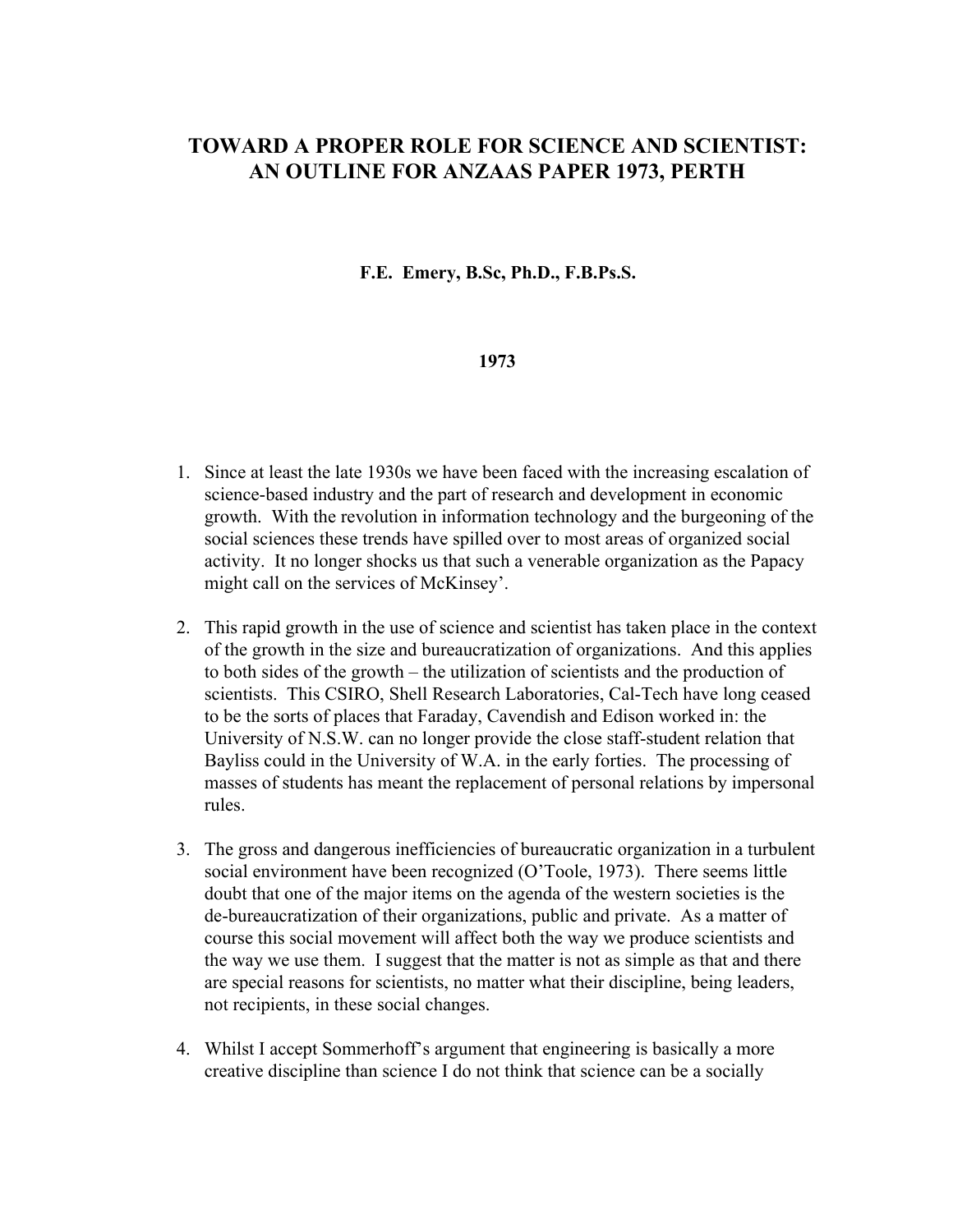## **TOWARD A PROPER ROLE FOR SCIENCE AND SCIENTIST: AN OUTLINE FOR ANZAAS PAPER 1973, PERTH**

## **F.E. Emery, B.Sc, Ph.D., F.B.Ps.S.**

## **1973**

- 1. Since at least the late 1930s we have been faced with the increasing escalation of science-based industry and the part of research and development in economic growth. With the revolution in information technology and the burgeoning of the social sciences these trends have spilled over to most areas of organized social activity. It no longer shocks us that such a venerable organization as the Papacy might call on the services of McKinsey'.
- 2. This rapid growth in the use of science and scientist has taken place in the context of the growth in the size and bureaucratization of organizations. And this applies to both sides of the growth – the utilization of scientists and the production of scientists. This CSIRO, Shell Research Laboratories, Cal-Tech have long ceased to be the sorts of places that Faraday, Cavendish and Edison worked in: the University of N.S.W. can no longer provide the close staff-student relation that Bayliss could in the University of W.A. in the early forties. The processing of masses of students has meant the replacement of personal relations by impersonal rules.
- 3. The gross and dangerous inefficiencies of bureaucratic organization in a turbulent social environment have been recognized (O'Toole, 1973). There seems little doubt that one of the major items on the agenda of the western societies is the de-bureaucratization of their organizations, public and private. As a matter of course this social movement will affect both the way we produce scientists and the way we use them. I suggest that the matter is not as simple as that and there are special reasons for scientists, no matter what their discipline, being leaders, not recipients, in these social changes.
- 4. Whilst I accept Sommerhoff's argument that engineering is basically a more creative discipline than science I do not think that science can be a socially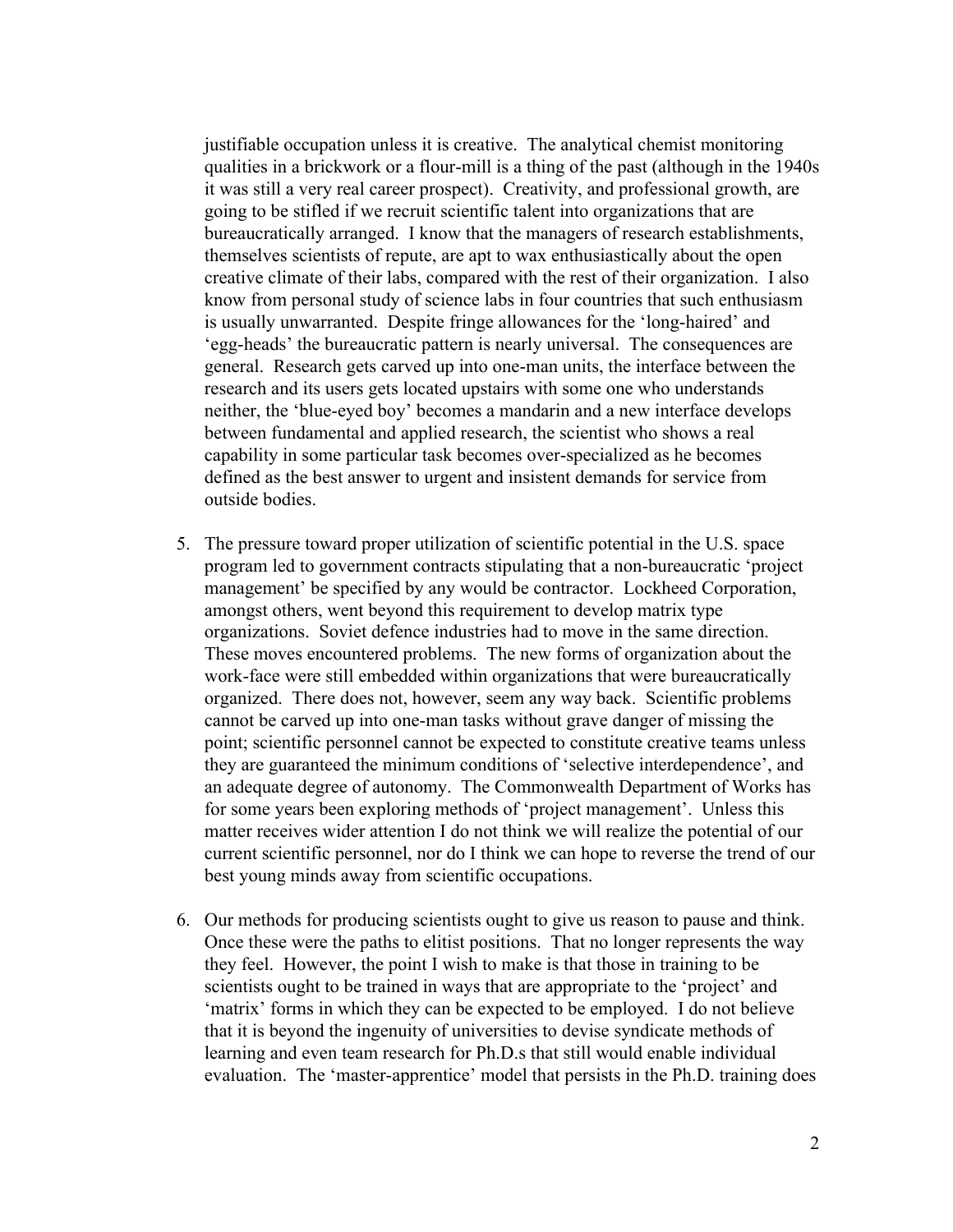justifiable occupation unless it is creative. The analytical chemist monitoring qualities in a brickwork or a flour-mill is a thing of the past (although in the 1940s it was still a very real career prospect). Creativity, and professional growth, are going to be stifled if we recruit scientific talent into organizations that are bureaucratically arranged. I know that the managers of research establishments, themselves scientists of repute, are apt to wax enthusiastically about the open creative climate of their labs, compared with the rest of their organization. I also know from personal study of science labs in four countries that such enthusiasm is usually unwarranted. Despite fringe allowances for the 'long-haired' and 'egg-heads' the bureaucratic pattern is nearly universal. The consequences are general. Research gets carved up into one-man units, the interface between the research and its users gets located upstairs with some one who understands neither, the 'blue-eyed boy' becomes a mandarin and a new interface develops between fundamental and applied research, the scientist who shows a real capability in some particular task becomes over-specialized as he becomes defined as the best answer to urgent and insistent demands for service from outside bodies.

- 5. The pressure toward proper utilization of scientific potential in the U.S. space program led to government contracts stipulating that a non-bureaucratic 'project management' be specified by any would be contractor. Lockheed Corporation, amongst others, went beyond this requirement to develop matrix type organizations. Soviet defence industries had to move in the same direction. These moves encountered problems. The new forms of organization about the work-face were still embedded within organizations that were bureaucratically organized. There does not, however, seem any way back. Scientific problems cannot be carved up into one-man tasks without grave danger of missing the point; scientific personnel cannot be expected to constitute creative teams unless they are guaranteed the minimum conditions of 'selective interdependence', and an adequate degree of autonomy. The Commonwealth Department of Works has for some years been exploring methods of 'project management'. Unless this matter receives wider attention I do not think we will realize the potential of our current scientific personnel, nor do I think we can hope to reverse the trend of our best young minds away from scientific occupations.
- 6. Our methods for producing scientists ought to give us reason to pause and think. Once these were the paths to elitist positions. That no longer represents the way they feel. However, the point I wish to make is that those in training to be scientists ought to be trained in ways that are appropriate to the 'project' and 'matrix' forms in which they can be expected to be employed. I do not believe that it is beyond the ingenuity of universities to devise syndicate methods of learning and even team research for Ph.D.s that still would enable individual evaluation. The 'master-apprentice' model that persists in the Ph.D. training does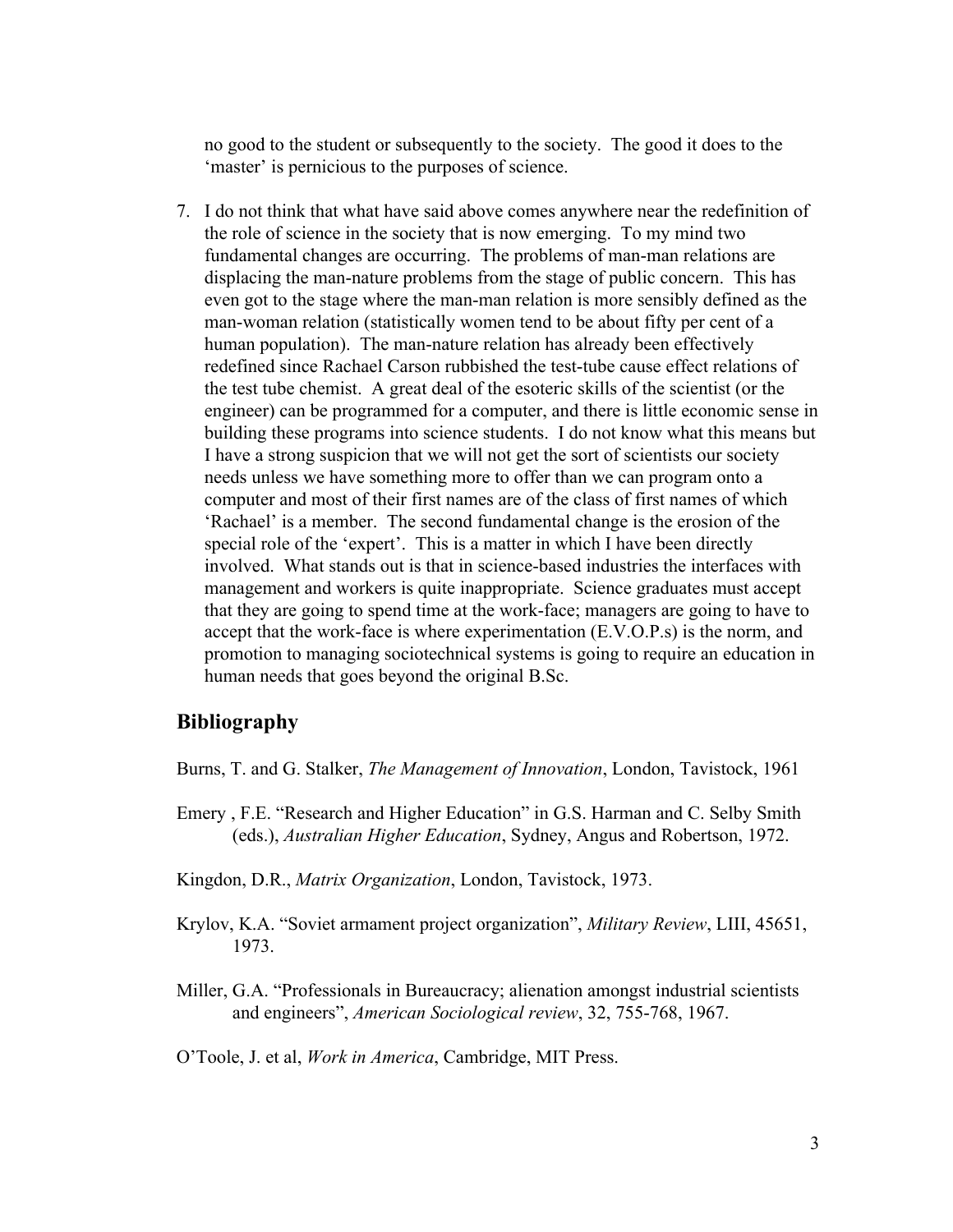no good to the student or subsequently to the society. The good it does to the 'master' is pernicious to the purposes of science.

7. I do not think that what have said above comes anywhere near the redefinition of the role of science in the society that is now emerging. To my mind two fundamental changes are occurring. The problems of man-man relations are displacing the man-nature problems from the stage of public concern. This has even got to the stage where the man-man relation is more sensibly defined as the man-woman relation (statistically women tend to be about fifty per cent of a human population). The man-nature relation has already been effectively redefined since Rachael Carson rubbished the test-tube cause effect relations of the test tube chemist. A great deal of the esoteric skills of the scientist (or the engineer) can be programmed for a computer, and there is little economic sense in building these programs into science students. I do not know what this means but I have a strong suspicion that we will not get the sort of scientists our society needs unless we have something more to offer than we can program onto a computer and most of their first names are of the class of first names of which 'Rachael' is a member. The second fundamental change is the erosion of the special role of the 'expert'. This is a matter in which I have been directly involved. What stands out is that in science-based industries the interfaces with management and workers is quite inappropriate. Science graduates must accept that they are going to spend time at the work-face; managers are going to have to accept that the work-face is where experimentation (E.V.O.P.s) is the norm, and promotion to managing sociotechnical systems is going to require an education in human needs that goes beyond the original B.Sc.

## **Bibliography**

- Burns, T. and G. Stalker, *The Management of Innovation*, London, Tavistock, 1961
- Emery , F.E. "Research and Higher Education" in G.S. Harman and C. Selby Smith (eds.), *Australian Higher Education*, Sydney, Angus and Robertson, 1972.
- Kingdon, D.R., *Matrix Organization*, London, Tavistock, 1973.
- Krylov, K.A. "Soviet armament project organization", *Military Review*, LIII, 45651, 1973.
- Miller, G.A. "Professionals in Bureaucracy; alienation amongst industrial scientists and engineers", *American Sociological review*, 32, 755-768, 1967.

O'Toole, J. et al, *Work in America*, Cambridge, MIT Press.